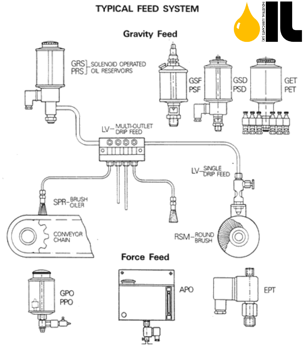# **TYPICAL FEED SYSTEM**



RSM-ROUND



SPR-BRUSH

CONVEYOR<br>CHAIN

ō

فتنتش



**Force Feed** 

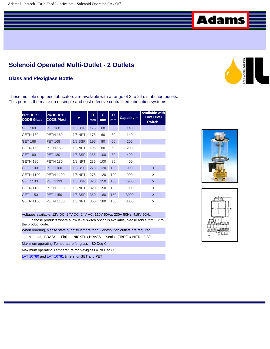# **Solenoid Operated Multi-Outlet - 2 Outlets**

#### **Glass and Plexiglass Bottle**

These multiple drip feed lubricators are available with a range of 2 to 24 distribution outlets. This permits the make up of simple and cost effective centralized lubrication systems

| <b>PRODUCT</b><br><b>CODE Glass</b> | <b>PRODUCT</b><br><b>CODE Plexi</b> | A              | B<br>mm | C<br>mm | D<br>mm | <b>Capacity ml</b> | <b>Available with</b><br><b>Low Level</b><br><b>Switch</b> |
|-------------------------------------|-------------------------------------|----------------|---------|---------|---------|--------------------|------------------------------------------------------------|
| <b>GET 160</b>                      | <b>PET 160</b>                      | $1/8$ BSP      | 175     | 60      | 60      | 140                |                                                            |
| <b>GETN 160</b>                     | <b>PETN 160</b>                     | $1/8$ NPT      | 175     | 60      | 60      | 140                |                                                            |
| <b>GET 168</b>                      | <b>PET 168</b>                      | $1/8$ BSP      | 195     | 80      | 60      | 200                |                                                            |
| <b>GETN 168</b>                     | <b>PETN 168</b>                     | $1/8$ NPT      | 195     | 80      | 60      | 200                |                                                            |
| <b>GET 180</b>                      | <b>PET 180</b>                      | $1/8$ BSP      | 235     | 100     | 80      | 400                |                                                            |
| <b>GETN 180</b>                     | <b>PETN 180</b>                     | <b>1/8 NPT</b> | 235     | 100     | 80      | 400                |                                                            |
| <b>GET 1100</b>                     | <b>PET 1100</b>                     | $1/8$ BSP      | 275     | 120     | 100     | 900                | X                                                          |
| <b>GETN 1100</b>                    | <b>PETN 1100</b>                    | $1/8$ NPT      | 275     | 120     | 100     | 900                | x                                                          |
| <b>GET 1133</b>                     | <b>PET 1133</b>                     | $1/8$ BSP      | 320     | 150     | 133     | 1900               | X                                                          |
| <b>GETN 1133</b>                    | <b>PETN 1133</b>                    | $1/8$ NPT      | 320     | 150     | 133     | 1900               | x                                                          |
| <b>GET 1150</b>                     | <b>PET 1150</b>                     | $1/8$ BSP      | 350     | 180     | 150     | 3000               | X                                                          |
| <b>GETN 1150</b>                    | <b>PETN 1150</b>                    | $1/8$ NPT      | 350     | 180     | 150     | 3000               | x                                                          |

#### Voltages available: 12V DC, 24V DC, 24V AC, 110V 50Hz, 230V 50Hz, 415V 50Hz

 On those products where a low level switch option is available, please add suffix 'FS' to the product code.

When ordering, please state quantity if more than 2 distribution outlets are required.

Material - BRASS Finish - NICKEL / BRASS Seals - FIBRE & NITRILE 80

Maximum operating Temperature for glass = 80 Deg C

Maximum operating Temperature for plexiglass = 70 Deg C

[LVT 10780](file:///G|/Websites/Lubetech%201.2b/Oilers_Main/Drip_Feed_lube/Accessories/program_timer.htm) and [LVT 10781](file:///G|/Websites/Lubetech%201.2b/Oilers_Main/Drip_Feed_lube/Accessories/program_timer.htm) timers for GET and PET





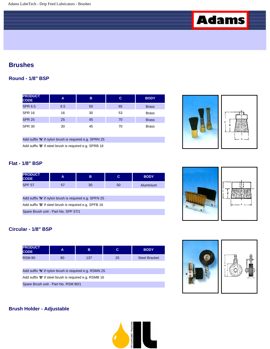# **Brushes**

## **Round - 1/8" BSP**

| <b>PRODUCT</b><br><b>CODE</b> | A   | B  | С  | <b>BODY</b>  |
|-------------------------------|-----|----|----|--------------|
| <b>SPR 6.5</b>                | 6.5 | 50 | 65 | <b>Brass</b> |
| <b>SPR 16</b>                 | 16  | 30 | 53 | <b>Brass</b> |
| <b>SPR 25</b>                 | 25  | 45 | 70 | <b>Brass</b> |
| <b>SPR 30</b>                 | 30  | 45 | 70 | <b>Brass</b> |

Add suffix **'N**' if nylon brush is required e.g. SPRN 25

Add suffix **'B'** if steel brush is required e.g. SPRB 16



## **Flat - 1/8" BSP**

| <b>PRODUCT</b><br><b>CODE</b> | A        | в  | $\sim$ | <b>BODY</b> |
|-------------------------------|----------|----|--------|-------------|
| <b>SPF 57</b>                 | E7<br>וכ | 30 | 50     | Aluminium   |

Add suffix **'N**' if nylon brush is required e.g. SPFN 25

Add suffix **'B'** if steel brush is required e.g. SPFB 16

Spare Brush unit - Part No. SPF 57/1

## **Circular - 1/8" BSP**

| <b>PRODUCT</b><br><b>CODE</b>                          | A  | в   | C  | <b>BODY</b>          |  |  |
|--------------------------------------------------------|----|-----|----|----------------------|--|--|
| <b>RSM 80</b>                                          | 80 | 137 | 25 | <b>Steel Bracket</b> |  |  |
|                                                        |    |     |    |                      |  |  |
| Add suffix 'N' if nylon brush is required e.g. RSMN 25 |    |     |    |                      |  |  |
| Add suffix 'B' if steel brush is required e.g. RSMB 16 |    |     |    |                      |  |  |
| Spare Brush unit - Part No. RSM 80/1                   |    |     |    |                      |  |  |





#### **Brush Holder - Adjustable**

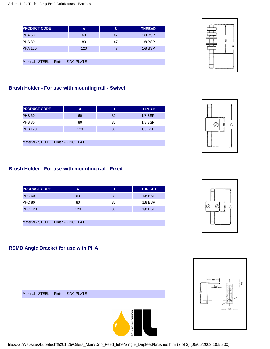| <b>PRODUCT CODE</b> |  | A                   | B  |           |
|---------------------|--|---------------------|----|-----------|
| <b>PHA 60</b>       |  | 60                  | 47 | $1/8$ BSP |
| <b>PHA 80</b>       |  | 80                  | 47 | $1/8$ BSP |
| <b>PHA 120</b>      |  | 120                 | 47 | $1/8$ BSP |
|                     |  |                     |    |           |
| Material - STEEL    |  | Finish - ZINC PLATE |    |           |



## **Brush Holder - For use with mounting rail - Swivel**

| <b>PRODUCT CODE</b> |  | B<br>A              |    | <b>THREAD</b> |
|---------------------|--|---------------------|----|---------------|
| <b>PHB 60</b>       |  | 60                  | 30 | $1/8$ BSP     |
| <b>PHB 80</b>       |  | 80                  | 30 | $1/8$ BSP     |
| <b>PHB 120</b>      |  | 120                 | 30 | $1/8$ BSP     |
|                     |  |                     |    |               |
| Material - STEEL    |  | Finish - ZINC PLATE |    |               |

## **Brush Holder - For use with mounting rail - Fixed**

| <b>PRODUCT CODE</b> | A   | в  | <b>THREAD</b> |
|---------------------|-----|----|---------------|
| <b>PHC 60</b>       | 60  | 30 | $1/8$ BSP     |
| <b>PHC 80</b>       | 80  | 30 | $1/8$ BSP     |
| <b>PHC 120</b>      | 120 | 30 | $1/8$ BSP     |

Material - STEEL Finish - ZINC PLATE



#### **RSMB Angle Bracket for use with PHA**

Material - STEEL Finish - ZINC PLATE